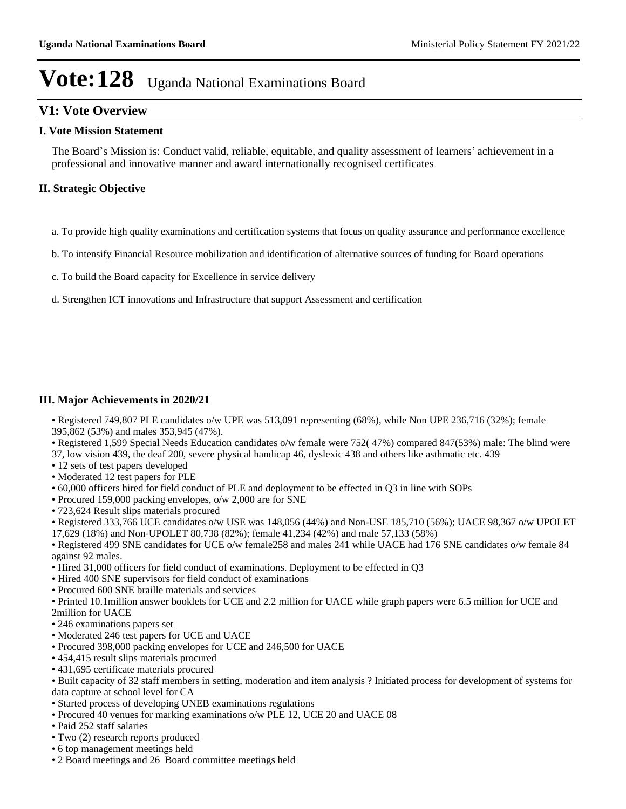### **V1: Vote Overview**

#### **I. Vote Mission Statement**

The Board's Mission is: Conduct valid, reliable, equitable, and quality assessment of learners' achievement in a professional and innovative manner and award internationally recognised certificates

### **II. Strategic Objective**

- a. To provide high quality examinations and certification systems that focus on quality assurance and performance excellence
- b. To intensify Financial Resource mobilization and identification of alternative sources of funding for Board operations
- c. To build the Board capacity for Excellence in service delivery
- d. Strengthen ICT innovations and Infrastructure that support Assessment and certification

#### **III. Major Achievements in 2020/21**

• Registered 749,807 PLE candidates o/w UPE was 513,091 representing (68%), while Non UPE 236,716 (32%); female 395,862 (53%) and males 353,945 (47%).

• Registered 1,599 Special Needs Education candidates o/w female were 752(47%) compared 847(53%) male: The blind were 37, low vision 439, the deaf 200, severe physical handicap 46, dyslexic 438 and others like asthmatic etc. 439

- 12 sets of test papers developed
- Moderated 12 test papers for PLE
- 60,000 officers hired for field conduct of PLE and deployment to be effected in Q3 in line with SOPs
- Procured 159,000 packing envelopes, o/w 2,000 are for SNE
- 723,624 Result slips materials procured

Registered 333,766 UCE candidates o/w USE was 148,056 (44%) and Non-USE 185,710 (56%); UACE 98,367 o/w UPOLET 17,629 (18%) and Non-UPOLET 80,738 (82%); female 41,234 (42%) and male 57,133 (58%)

• Registered 499 SNE candidates for UCE o/w female258 and males 241 while UACE had 176 SNE candidates o/w female 84 against 92 males.

- Hired 31,000 officers for field conduct of examinations. Deployment to be effected in Q3
- Hired 400 SNE supervisors for field conduct of examinations
- Procured 600 SNE braille materials and services

Printed 10.1million answer booklets for UCE and 2.2 million for UACE while graph papers were 6.5 million for UCE and

- 2million for UACE
- 246 examinations papers set
- Moderated 246 test papers for UCE and UACE
- Procured 398,000 packing envelopes for UCE and 246,500 for UACE
- 454,415 result slips materials procured
- 431,695 certificate materials procured

Built capacity of 32 staff members in setting, moderation and item analysis ? Initiated process for development of systems for data capture at school level for CA

- Started process of developing UNEB examinations regulations
- Procured 40 venues for marking examinations o/w PLE 12, UCE 20 and UACE 08
- Paid 252 staff salaries
- Two (2) research reports produced
- 6 top management meetings held
- 2 Board meetings and 26 Board committee meetings held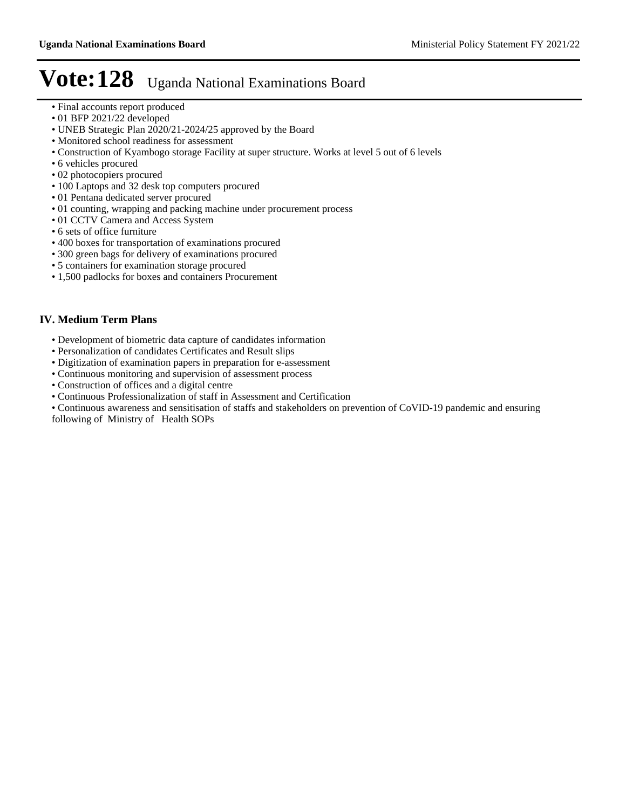- Final accounts report produced
- 01 BFP 2021/22 developed
- UNEB Strategic Plan 2020/21-2024/25 approved by the Board
- Monitored school readiness for assessment
- Construction of Kyambogo storage Facility at super structure. Works at level 5 out of 6 levels
- 6 vehicles procured
- 02 photocopiers procured
- 100 Laptops and 32 desk top computers procured
- 01 Pentana dedicated server procured
- 01 counting, wrapping and packing machine under procurement process
- 01 CCTV Camera and Access System
- 6 sets of office furniture
- 400 boxes for transportation of examinations procured
- 300 green bags for delivery of examinations procured
- 5 containers for examination storage procured
- 1,500 padlocks for boxes and containers Procurement

### **IV. Medium Term Plans**

- Development of biometric data capture of candidates information
- Personalization of candidates Certificates and Result slips
- Digitization of examination papers in preparation for e-assessment
- Continuous monitoring and supervision of assessment process
- Construction of offices and a digital centre
- Continuous Professionalization of staff in Assessment and Certification
- Continuous awareness and sensitisation of staffs and stakeholders on prevention of CoVID-19 pandemic and ensuring

following of Ministry of Health SOPs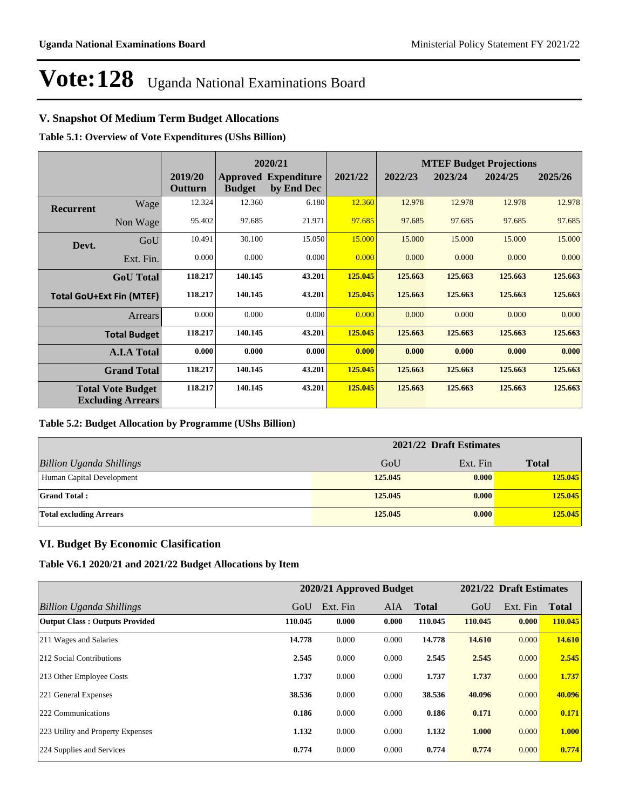### **V. Snapshot Of Medium Term Budget Allocations**

**Table 5.1: Overview of Vote Expenditures (UShs Billion)**

| 2020/21          |                                                      |                    |               |                                           | <b>MTEF Budget Projections</b> |         |         |         |         |
|------------------|------------------------------------------------------|--------------------|---------------|-------------------------------------------|--------------------------------|---------|---------|---------|---------|
|                  |                                                      | 2019/20<br>Outturn | <b>Budget</b> | <b>Approved Expenditure</b><br>by End Dec | 2021/22                        | 2022/23 | 2023/24 | 2024/25 | 2025/26 |
| <b>Recurrent</b> | Wage                                                 | 12.324             | 12.360        | 6.180                                     | 12.360                         | 12.978  | 12.978  | 12.978  | 12.978  |
|                  | Non Wage                                             | 95.402             | 97.685        | 21.971                                    | 97.685                         | 97.685  | 97.685  | 97.685  | 97.685  |
| Devt.            | GoU                                                  | 10.491             | 30.100        | 15.050                                    | 15.000                         | 15.000  | 15.000  | 15.000  | 15.000  |
|                  | Ext. Fin.                                            | 0.000              | 0.000         | 0.000                                     | 0.000                          | 0.000   | 0.000   | 0.000   | 0.000   |
|                  | <b>GoU</b> Total                                     | 118.217            | 140.145       | 43.201                                    | 125.045                        | 125.663 | 125.663 | 125.663 | 125.663 |
|                  | <b>Total GoU+Ext Fin (MTEF)</b>                      | 118.217            | 140.145       | 43.201                                    | 125.045                        | 125.663 | 125.663 | 125.663 | 125.663 |
|                  | Arrears                                              | 0.000              | 0.000         | 0.000                                     | 0.000                          | 0.000   | 0.000   | 0.000   | 0.000   |
|                  | <b>Total Budget</b>                                  | 118.217            | 140.145       | 43.201                                    | 125.045                        | 125.663 | 125.663 | 125.663 | 125.663 |
|                  | <b>A.I.A Total</b>                                   | 0.000              | 0.000         | 0.000                                     | 0.000                          | 0.000   | 0.000   | 0.000   | 0.000   |
|                  | <b>Grand Total</b>                                   | 118.217            | 140.145       | 43.201                                    | 125.045                        | 125.663 | 125.663 | 125.663 | 125.663 |
|                  | <b>Total Vote Budget</b><br><b>Excluding Arrears</b> | 118.217            | 140.145       | 43.201                                    | 125.045                        | 125.663 | 125.663 | 125.663 | 125.663 |

#### **Table 5.2: Budget Allocation by Programme (UShs Billion)**

|                                 | 2021/22 Draft Estimates |          |              |
|---------------------------------|-------------------------|----------|--------------|
| <b>Billion Uganda Shillings</b> | GoU                     | Ext. Fin | <b>Total</b> |
| Human Capital Development       | 125,045                 | 0.000    | 125.045      |
| <b>Grand Total:</b>             | 125,045                 | 0.000    | 125.045      |
| <b>Total excluding Arrears</b>  | 125,045                 | 0.000    | 125.045      |

### **VI. Budget By Economic Clasification**

**Table V6.1 2020/21 and 2021/22 Budget Allocations by Item**

|                                       |         | 2020/21 Approved Budget |            |              |         | 2021/22 Draft Estimates |              |
|---------------------------------------|---------|-------------------------|------------|--------------|---------|-------------------------|--------------|
| Billion Uganda Shillings              | GoU     | Ext. Fin                | <b>AIA</b> | <b>Total</b> | GoU     | Ext. Fin                | <b>Total</b> |
| <b>Output Class: Outputs Provided</b> | 110.045 | 0.000                   | 0.000      | 110.045      | 110.045 | 0.000                   | 110.045      |
| 211 Wages and Salaries                | 14.778  | 0.000                   | 0.000      | 14.778       | 14.610  | 0.000                   | 14.610       |
| 212 Social Contributions              | 2.545   | 0.000                   | 0.000      | 2.545        | 2.545   | 0.000                   | 2.545        |
| 213 Other Employee Costs              | 1.737   | 0.000                   | 0.000      | 1.737        | 1.737   | 0.000                   | 1.737        |
| 221 General Expenses                  | 38.536  | 0.000                   | 0.000      | 38.536       | 40.096  | 0.000                   | 40.096       |
| 222 Communications                    | 0.186   | 0.000                   | 0.000      | 0.186        | 0.171   | 0.000                   | 0.171        |
| 223 Utility and Property Expenses     | 1.132   | 0.000                   | 0.000      | 1.132        | 1.000   | 0.000                   | 1.000        |
| 224 Supplies and Services             | 0.774   | 0.000                   | 0.000      | 0.774        | 0.774   | 0.000                   | 0.774        |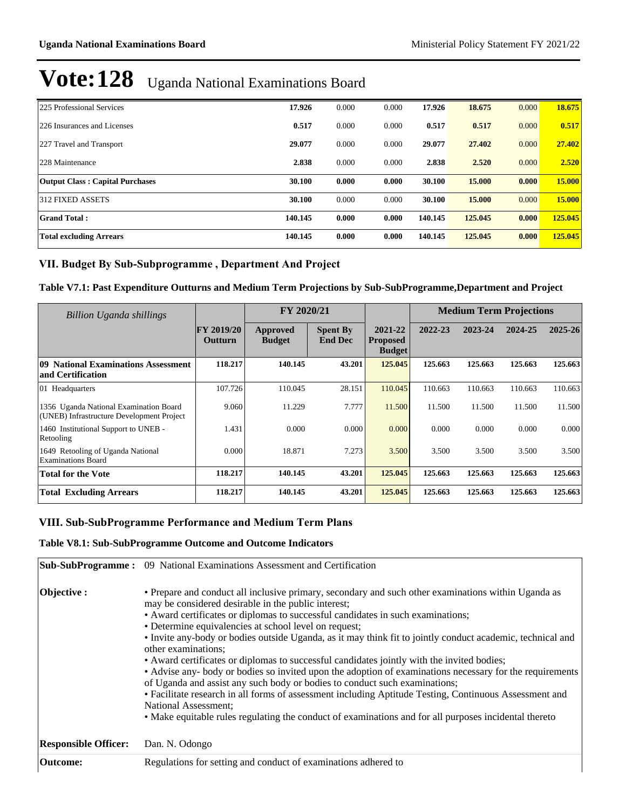| 225 Professional Services              | 17.926  | 0.000 | 0.000 | 17.926  | 18.675  | 0.000 | 18.675        |
|----------------------------------------|---------|-------|-------|---------|---------|-------|---------------|
| 226 Insurances and Licenses            | 0.517   | 0.000 | 0.000 | 0.517   | 0.517   | 0.000 | 0.517         |
| 227 Travel and Transport               | 29.077  | 0.000 | 0.000 | 29,077  | 27,402  | 0.000 | 27.402        |
| 228 Maintenance                        | 2.838   | 0.000 | 0.000 | 2.838   | 2.520   | 0.000 | 2.520         |
| <b>Output Class: Capital Purchases</b> | 30.100  | 0.000 | 0.000 | 30.100  | 15.000  | 0.000 | 15.000        |
| 312 FIXED ASSETS                       | 30.100  | 0.000 | 0.000 | 30.100  | 15.000  | 0.000 | <b>15.000</b> |
| <b>Grand Total:</b>                    | 140.145 | 0.000 | 0.000 | 140.145 | 125.045 | 0.000 | 125,045       |
| <b>Total excluding Arrears</b>         | 140.145 | 0.000 | 0.000 | 140.145 | 125.045 | 0.000 | 125.045       |

### VII. Budget By Sub-Subprogramme, Department And Project

### **Table V7.1: Past Expenditure Outturns and Medium Term Projections by Sub-SubProgramme,Department and Project**

| <b>Billion Uganda shillings</b>                                                     |                                     | FY 2020/21                |                                   |                                             | <b>Medium Term Projections</b> |         |         |         |
|-------------------------------------------------------------------------------------|-------------------------------------|---------------------------|-----------------------------------|---------------------------------------------|--------------------------------|---------|---------|---------|
|                                                                                     | <b>FY 2019/20</b><br><b>Outturn</b> | Approved<br><b>Budget</b> | <b>Spent By</b><br><b>End Dec</b> | 2021-22<br><b>Proposed</b><br><b>Budget</b> | 2022-23                        | 2023-24 | 2024-25 | 2025-26 |
| 09 National Examinations Assessment<br>and Certification                            | 118.217                             | 140.145                   | 43.201                            | 125.045                                     | 125.663                        | 125.663 | 125.663 | 125.663 |
| 01 Headquarters                                                                     | 107.726                             | 110.045                   | 28.151                            | 110.045                                     | 110.663                        | 110.663 | 110.663 | 110.663 |
| 1356 Uganda National Examination Board<br>(UNEB) Infrastructure Development Project | 9.060                               | 11.229                    | 7.777                             | 11.500                                      | 11.500                         | 11.500  | 11.500  | 11.500  |
| 1460 Institutional Support to UNEB -<br>Retooling                                   | 1.431                               | 0.000                     | 0.000                             | 0.000                                       | 0.000                          | 0.000   | 0.000   | 0.000   |
| 1649 Retooling of Uganda National<br><b>Examinations Board</b>                      | 0.000                               | 18.871                    | 7.273                             | 3.500                                       | 3.500                          | 3.500   | 3.500   | 3.500   |
| <b>Total for the Vote</b>                                                           | 118.217                             | 140.145                   | 43.201                            | 125.045                                     | 125.663                        | 125.663 | 125.663 | 125.663 |
| <b>Total Excluding Arrears</b>                                                      | 118.217                             | 140.145                   | 43.201                            | 125.045                                     | 125.663                        | 125.663 | 125.663 | 125.663 |

### **VIII. Sub-SubProgramme Performance and Medium Term Plans**

#### **Table V8.1: Sub-SubProgramme Outcome and Outcome Indicators**

|                             | Sub-SubProgramme: 09 National Examinations Assessment and Certification                                                                                                                                                                                                                                                                                                                                                                                                                                                                                                                                                                                                                                                                                                                                                                                                                                                                                                               |
|-----------------------------|---------------------------------------------------------------------------------------------------------------------------------------------------------------------------------------------------------------------------------------------------------------------------------------------------------------------------------------------------------------------------------------------------------------------------------------------------------------------------------------------------------------------------------------------------------------------------------------------------------------------------------------------------------------------------------------------------------------------------------------------------------------------------------------------------------------------------------------------------------------------------------------------------------------------------------------------------------------------------------------|
| Objective :                 | • Prepare and conduct all inclusive primary, secondary and such other examinations within Uganda as<br>may be considered desirable in the public interest;<br>• Award certificates or diplomas to successful candidates in such examinations;<br>• Determine equivalencies at school level on request;<br>• Invite any-body or bodies outside Uganda, as it may think fit to jointly conduct academic, technical and<br>other examinations;<br>• Award certificates or diplomas to successful candidates jointly with the invited bodies;<br>• Advise any- body or bodies so invited upon the adoption of examinations necessary for the requirements<br>of Uganda and assist any such body or bodies to conduct such examinations;<br>• Facilitate research in all forms of assessment including Aptitude Testing, Continuous Assessment and<br><b>National Assessment:</b><br>• Make equitable rules regulating the conduct of examinations and for all purposes incidental thereto |
| <b>Responsible Officer:</b> | Dan. N. Odongo                                                                                                                                                                                                                                                                                                                                                                                                                                                                                                                                                                                                                                                                                                                                                                                                                                                                                                                                                                        |
| <b>Outcome:</b>             | Regulations for setting and conduct of examinations adhered to                                                                                                                                                                                                                                                                                                                                                                                                                                                                                                                                                                                                                                                                                                                                                                                                                                                                                                                        |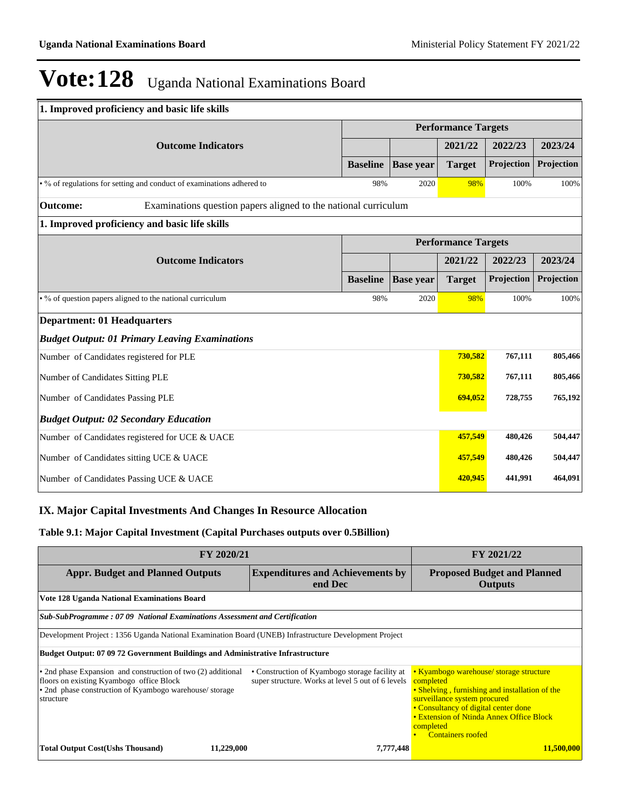| 1. Improved proficiency and basic life skills                                      |                 |                            |                            |            |            |  |  |  |
|------------------------------------------------------------------------------------|-----------------|----------------------------|----------------------------|------------|------------|--|--|--|
|                                                                                    |                 | <b>Performance Targets</b> |                            |            |            |  |  |  |
| <b>Outcome Indicators</b>                                                          |                 |                            | 2021/22                    | 2022/23    | 2023/24    |  |  |  |
|                                                                                    | <b>Baseline</b> | <b>Base</b> year           | <b>Target</b>              | Projection | Projection |  |  |  |
| . % of regulations for setting and conduct of examinations adhered to              | 98%             | 2020                       | 98%                        | 100%       | 100%       |  |  |  |
| <b>Outcome:</b><br>Examinations question papers aligned to the national curriculum |                 |                            |                            |            |            |  |  |  |
| 1. Improved proficiency and basic life skills                                      |                 |                            |                            |            |            |  |  |  |
|                                                                                    |                 |                            | <b>Performance Targets</b> |            |            |  |  |  |
| <b>Outcome Indicators</b>                                                          |                 |                            | 2021/22                    | 2022/23    | 2023/24    |  |  |  |
|                                                                                    | <b>Baseline</b> | <b>Base</b> year           | <b>Target</b>              | Projection | Projection |  |  |  |
| • % of question papers aligned to the national curriculum                          | 98%             | 2020                       | 98%                        | 100%       | 100%       |  |  |  |
| <b>Department: 01 Headquarters</b>                                                 |                 |                            |                            |            |            |  |  |  |
| <b>Budget Output: 01 Primary Leaving Examinations</b>                              |                 |                            |                            |            |            |  |  |  |
| Number of Candidates registered for PLE                                            |                 |                            | 730,582                    | 767,111    | 805,466    |  |  |  |
| Number of Candidates Sitting PLE                                                   |                 |                            | 730,582                    | 767,111    | 805,466    |  |  |  |
| Number of Candidates Passing PLE                                                   |                 |                            | 694,052                    | 728,755    | 765,192    |  |  |  |
| <b>Budget Output: 02 Secondary Education</b>                                       |                 |                            |                            |            |            |  |  |  |
| Number of Candidates registered for UCE & UACE                                     |                 |                            | 457,549                    | 480,426    | 504,447    |  |  |  |
| Number of Candidates sitting UCE & UACE                                            |                 |                            | 457,549                    | 480,426    | 504,447    |  |  |  |
| Number of Candidates Passing UCE & UACE                                            |                 |                            | 420,945                    | 441,991    | 464,091    |  |  |  |

### **IX. Major Capital Investments And Changes In Resource Allocation**

### **Table 9.1: Major Capital Investment (Capital Purchases outputs over 0.5Billion)**

| FY 2020/21                                                                                                                                                                      | FY 2021/22                                                                                          |                                                                                                                                                                                                                                                                     |  |  |  |  |  |
|---------------------------------------------------------------------------------------------------------------------------------------------------------------------------------|-----------------------------------------------------------------------------------------------------|---------------------------------------------------------------------------------------------------------------------------------------------------------------------------------------------------------------------------------------------------------------------|--|--|--|--|--|
| <b>Appr. Budget and Planned Outputs</b>                                                                                                                                         | <b>Expenditures and Achievements by</b><br>end Dec                                                  | <b>Proposed Budget and Planned</b><br><b>Outputs</b>                                                                                                                                                                                                                |  |  |  |  |  |
| Vote 128 Uganda National Examinations Board                                                                                                                                     |                                                                                                     |                                                                                                                                                                                                                                                                     |  |  |  |  |  |
| Sub-SubProgramme: 07 09 National Examinations Assessment and Certification                                                                                                      |                                                                                                     |                                                                                                                                                                                                                                                                     |  |  |  |  |  |
| Development Project : 1356 Uganda National Examination Board (UNEB) Infrastructure Development Project                                                                          |                                                                                                     |                                                                                                                                                                                                                                                                     |  |  |  |  |  |
| <b>Budget Output: 07 09 72 Government Buildings and Administrative Infrastructure</b>                                                                                           |                                                                                                     |                                                                                                                                                                                                                                                                     |  |  |  |  |  |
| • 2nd phase Expansion and construction of two (2) additional<br>floors on existing Kyambogo office Block<br>• 2nd phase construction of Kyambogo warehouse/storage<br>structure | • Construction of Kyambogo storage facility at<br>super structure. Works at level 5 out of 6 levels | • Kyambogo warehouse/ storage structure<br>completed<br>• Shelving, furnishing and installation of the<br>surveillance system procured<br>• Consultancy of digital center done<br>• Extension of Ntinda Annex Office Block<br>completed<br><b>Containers roofed</b> |  |  |  |  |  |
| <b>Total Output Cost(Ushs Thousand)</b><br>11,229,000                                                                                                                           | 7,777,448                                                                                           | 11,500,000                                                                                                                                                                                                                                                          |  |  |  |  |  |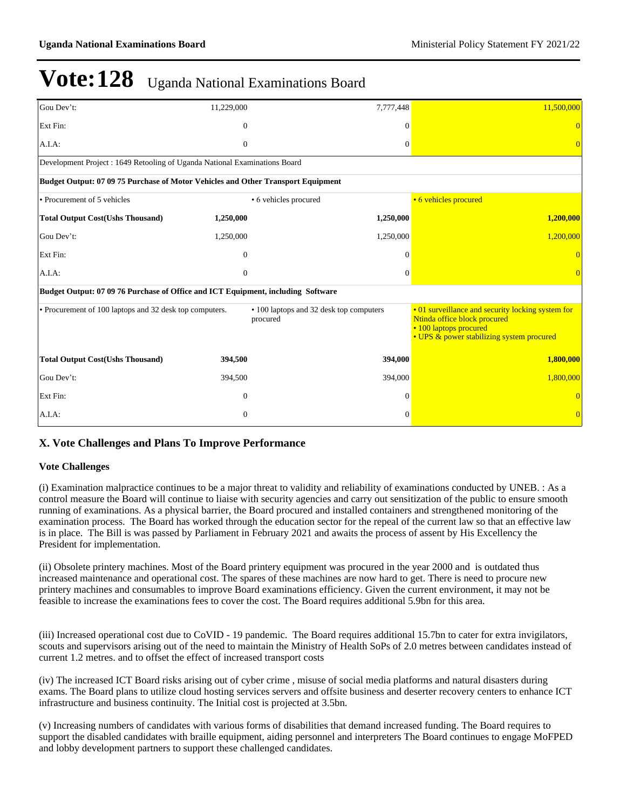| Gou Dev't:                                                                       | 11,229,000                                                                | 7,777,448                                           | 11,500,000                                                                                                                                               |  |  |  |  |  |  |
|----------------------------------------------------------------------------------|---------------------------------------------------------------------------|-----------------------------------------------------|----------------------------------------------------------------------------------------------------------------------------------------------------------|--|--|--|--|--|--|
| Ext Fin:                                                                         | $\theta$                                                                  | $\theta$                                            |                                                                                                                                                          |  |  |  |  |  |  |
| A.I.A.                                                                           | $\theta$                                                                  | $\Omega$                                            |                                                                                                                                                          |  |  |  |  |  |  |
|                                                                                  | Development Project: 1649 Retooling of Uganda National Examinations Board |                                                     |                                                                                                                                                          |  |  |  |  |  |  |
| Budget Output: 07 09 75 Purchase of Motor Vehicles and Other Transport Equipment |                                                                           |                                                     |                                                                                                                                                          |  |  |  |  |  |  |
| • Procurement of 5 vehicles                                                      |                                                                           | • 6 vehicles procured                               | • 6 vehicles procured                                                                                                                                    |  |  |  |  |  |  |
| <b>Total Output Cost(Ushs Thousand)</b>                                          | 1,250,000                                                                 | 1,250,000                                           | 1,200,000                                                                                                                                                |  |  |  |  |  |  |
| Gou Dev't:                                                                       | 1,250,000                                                                 | 1,250,000                                           | 1,200,000                                                                                                                                                |  |  |  |  |  |  |
| Ext Fin:                                                                         | $\overline{0}$                                                            | $\theta$                                            |                                                                                                                                                          |  |  |  |  |  |  |
| A.I.A.                                                                           | $\theta$                                                                  | $\Omega$                                            |                                                                                                                                                          |  |  |  |  |  |  |
| Budget Output: 07 09 76 Purchase of Office and ICT Equipment, including Software |                                                                           |                                                     |                                                                                                                                                          |  |  |  |  |  |  |
| • Procurement of 100 laptops and 32 desk top computers.                          |                                                                           | • 100 laptops and 32 desk top computers<br>procured | • 01 surveillance and security locking system for<br>Ntinda office block procured<br>• 100 laptops procured<br>• UPS & power stabilizing system procured |  |  |  |  |  |  |
| <b>Total Output Cost(Ushs Thousand)</b>                                          | 394,500                                                                   | 394,000                                             | 1,800,000                                                                                                                                                |  |  |  |  |  |  |
| Gou Dev't:                                                                       | 394,500                                                                   | 394,000                                             | 1,800,000                                                                                                                                                |  |  |  |  |  |  |
| Ext Fin:                                                                         | $\theta$                                                                  | 0                                                   |                                                                                                                                                          |  |  |  |  |  |  |
| A.I.A.                                                                           | $\mathbf{0}$                                                              | $\Omega$                                            |                                                                                                                                                          |  |  |  |  |  |  |

### **X. Vote Challenges and Plans To Improve Performance**

### **Vote Challenges**

(i) Examination malpractice continues to be a major threat to validity and reliability of examinations conducted by UNEB. : As a control measure the Board will continue to liaise with security agencies and carry out sensitization of the public to ensure smooth running of examinations. As a physical barrier, the Board procured and installed containers and strengthened monitoring of the examination process. The Board has worked through the education sector for the repeal of the current law so that an effective law is in place. The Bill is was passed by Parliament in February 2021 and awaits the process of assent by His Excellency the President for implementation.

(ii) Obsolete printery machines. Most of the Board printery equipment was procured in the year 2000 and is outdated thus increased maintenance and operational cost. The spares of these machines are now hard to get. There is need to procure new printery machines and consumables to improve Board examinations efficiency. Given the current environment, it may not be feasible to increase the examinations fees to cover the cost. The Board requires additional 5.9bn for this area.

(iii) Increased operational cost due to CoVID - 19 pandemic. The Board requires additional 15.7bn to cater for extra invigilators, scouts and supervisors arising out of the need to maintain the Ministry of Health SoPs of 2.0 metres between candidates instead of current 1.2 metres. and to offset the effect of increased transport costs

(iv) The increased ICT Board risks arising out of cyber crime , misuse of social media platforms and natural disasters during exams. The Board plans to utilize cloud hosting services servers and offsite business and deserter recovery centers to enhance ICT infrastructure and business continuity. The Initial cost is projected at 3.5bn.

(v) Increasing numbers of candidates with various forms of disabilities that demand increased funding. The Board requires to support the disabled candidates with braille equipment, aiding personnel and interpreters The Board continues to engage MoFPED and lobby development partners to support these challenged candidates.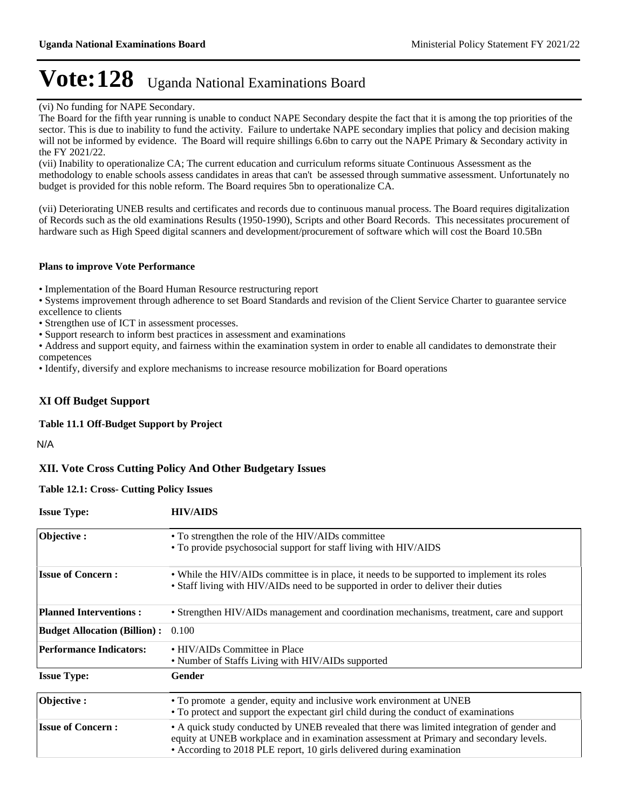(vi) No funding for NAPE Secondary.

The Board for the fifth year running is unable to conduct NAPE Secondary despite the fact that it is among the top priorities of the sector. This is due to inability to fund the activity. Failure to undertake NAPE secondary implies that policy and decision making will not be informed by evidence. The Board will require shillings 6.6bn to carry out the NAPE Primary & Secondary activity in the FY 2021/22.

(vii) Inability to operationalize CA; The current education and curriculum reforms situate Continuous Assessment as the methodology to enable schools assess candidates in areas that can't be assessed through summative assessment. Unfortunately no budget is provided for this noble reform. The Board requires 5bn to operationalize CA.

(vii) Deteriorating UNEB results and certificates and records due to continuous manual process. The Board requires digitalization of Records such as the old examinations Results (1950-1990), Scripts and other Board Records. This necessitates procurement of hardware such as High Speed digital scanners and development/procurement of software which will cost the Board 10.5Bn

#### **Plans to improve Vote Performance**

Implementation of the Board Human Resource restructuring report

Systems improvement through adherence to set Board Standards and revision of the Client Service Charter to guarantee service excellence to clients

Strengthen use of ICT in assessment processes.

Support research to inform best practices in assessment and examinations

Address and support equity, and fairness within the examination system in order to enable all candidates to demonstrate their competences

Identify, diversify and explore mechanisms to increase resource mobilization for Board operations

### **XI Off Budget Support**

**Table 11.1 Off-Budget Support by Project**

N/A

### **XII. Vote Cross Cutting Policy And Other Budgetary Issues**

**Table 12.1: Cross- Cutting Policy Issues**

| <b>Issue Type:</b>                  | <b>HIV/AIDS</b>                                                                                                                                                                                                                                                 |
|-------------------------------------|-----------------------------------------------------------------------------------------------------------------------------------------------------------------------------------------------------------------------------------------------------------------|
| Objective:                          | • To strengthen the role of the HIV/AIDs committee<br>• To provide psychosocial support for staff living with HIV/AIDS                                                                                                                                          |
| <b>Issue of Concern:</b>            | • While the HIV/AIDs committee is in place, it needs to be supported to implement its roles<br>• Staff living with HIV/AIDs need to be supported in order to deliver their duties                                                                               |
| <b>Planned Interventions:</b>       | • Strengthen HIV/AIDs management and coordination mechanisms, treatment, care and support                                                                                                                                                                       |
| <b>Budget Allocation (Billion):</b> | 0.100                                                                                                                                                                                                                                                           |
| <b>Performance Indicators:</b>      | • HIV/AIDs Committee in Place<br>• Number of Staffs Living with HIV/AIDs supported                                                                                                                                                                              |
| <b>Issue Type:</b>                  | Gender                                                                                                                                                                                                                                                          |
| Objective:                          | • To promote a gender, equity and inclusive work environment at UNEB<br>• To protect and support the expectant girl child during the conduct of examinations                                                                                                    |
| <b>Issue of Concern:</b>            | • A quick study conducted by UNEB revealed that there was limited integration of gender and<br>equity at UNEB workplace and in examination assessment at Primary and secondary levels.<br>• According to 2018 PLE report, 10 girls delivered during examination |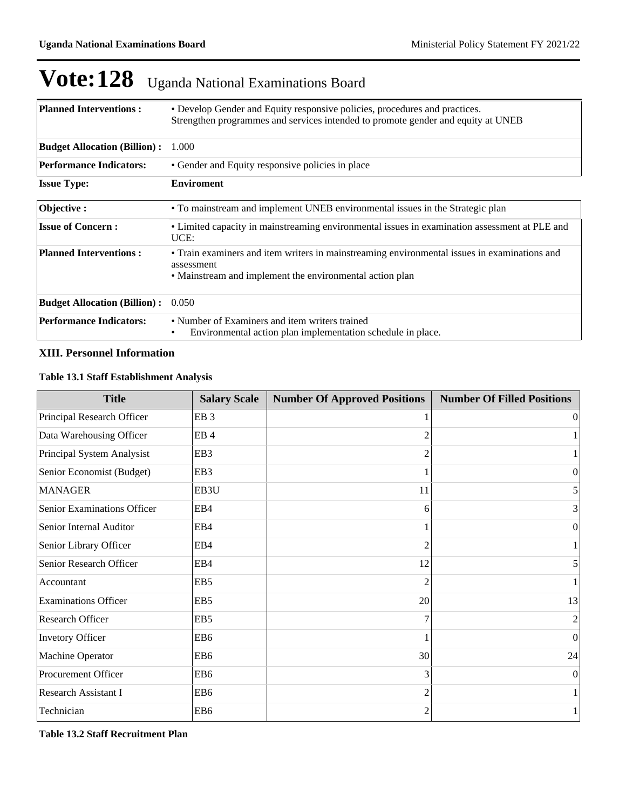| <b>Planned Interventions:</b>       | • Develop Gender and Equity responsive policies, procedures and practices.<br>Strengthen programmes and services intended to promote gender and equity at UNEB         |
|-------------------------------------|------------------------------------------------------------------------------------------------------------------------------------------------------------------------|
| <b>Budget Allocation (Billion):</b> | 1.000                                                                                                                                                                  |
| <b>Performance Indicators:</b>      | • Gender and Equity responsive policies in place                                                                                                                       |
| <b>Issue Type:</b>                  | <b>Enviroment</b>                                                                                                                                                      |
| Objective:                          | • To mainstream and implement UNEB environmental issues in the Strategic plan                                                                                          |
| <b>Issue of Concern:</b>            | • Limited capacity in mainstreaming environmental issues in examination assessment at PLE and<br>UCE:                                                                  |
| <b>Planned Interventions:</b>       | • Train examiners and item writers in mainstreaming environmental issues in examinations and<br>assessment<br>• Mainstream and implement the environmental action plan |
| <b>Budget Allocation (Billion):</b> | 0.050                                                                                                                                                                  |
| <b>Performance Indicators:</b>      | • Number of Examiners and item writers trained<br>Environmental action plan implementation schedule in place.                                                          |

### **XIII. Personnel Information**

### **Table 13.1 Staff Establishment Analysis**

| <b>Title</b>                | <b>Salary Scale</b> | <b>Number Of Approved Positions</b> | <b>Number Of Filled Positions</b> |
|-----------------------------|---------------------|-------------------------------------|-----------------------------------|
| Principal Research Officer  | EB <sub>3</sub>     |                                     | 0                                 |
| Data Warehousing Officer    | EB <sub>4</sub>     |                                     |                                   |
| Principal System Analysist  | EB <sub>3</sub>     |                                     |                                   |
| Senior Economist (Budget)   | EB <sub>3</sub>     |                                     | $\Omega$                          |
| <b>MANAGER</b>              | EB3U                | 11                                  | 5                                 |
| Senior Examinations Officer | EB4                 | 6                                   | 3                                 |
| Senior Internal Auditor     | EB4                 |                                     | 0                                 |
| Senior Library Officer      | EB4                 | $\mathfrak{D}$                      |                                   |
| Senior Research Officer     | EB4                 | 12                                  | 5                                 |
| Accountant                  | EB <sub>5</sub>     |                                     |                                   |
| <b>Examinations Officer</b> | EB <sub>5</sub>     | 20                                  | 13                                |
| Research Officer            | EB <sub>5</sub>     |                                     | 2                                 |
| Invetory Officer            | EB <sub>6</sub>     |                                     | 0                                 |
| Machine Operator            | EB <sub>6</sub>     | 30                                  | 24                                |
| Procurement Officer         | EB6                 | 3                                   | $\Omega$                          |
| Research Assistant I        | EB <sub>6</sub>     |                                     |                                   |
| Technician                  | EB <sub>6</sub>     |                                     |                                   |

**Table 13.2 Staff Recruitment Plan**